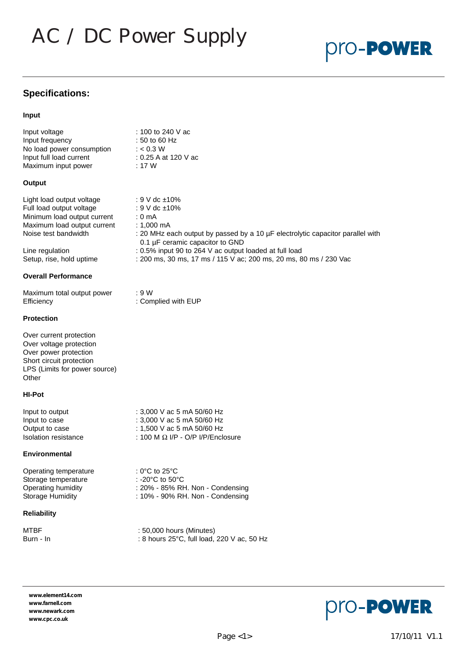# AC / DC Power Supply

# pro-**PowER**

## **Specifications:**

#### **Input**

| Input voltage             | : 100 to 240 V ac    |
|---------------------------|----------------------|
| Input frequency           | : 50 to 60 Hz        |
| No load power consumption | : $< 0.3$ W          |
| Input full load current   | : 0.25 A at 120 V ac |
| Maximum input power       | : 17 W               |

#### **Output**

| Light load output voltage   | : 9 V dc $\pm 10\%$                                                                                               |
|-----------------------------|-------------------------------------------------------------------------------------------------------------------|
| Full load output voltage    | : 9 V dc ±10%                                                                                                     |
| Minimum load output current | $: 0 \text{ mA}$                                                                                                  |
| Maximum load output current | :1.000 mA                                                                                                         |
| Noise test bandwidth        | : 20 MHz each output by passed by a 10 µF electrolytic capacitor parallel with<br>0.1 µF ceramic capacitor to GND |

Line regulation : 0.5% input 90 to 264 V ac output loaded at full load Setup, rise, hold uptime : 200 ms, 30 ms, 17 ms / 115 V ac; 200 ms, 20 ms, 80 ms / 230 Vac

#### **Overall Performance**

| Maximum total output power | : 9 W               |
|----------------------------|---------------------|
| Efficiency                 | : Complied with EUP |

#### **Protection**

Over current protection Over voltage protection Over power protection Short circuit protection LPS (Limits for power source) **Other** 

#### **HI-Pot**

| Input to output      | : 3,000 V ac 5 mA 50/60 Hz               |
|----------------------|------------------------------------------|
| Input to case        | : 3,000 V ac 5 mA 50/60 Hz               |
| Output to case       | : 1,500 V ac 5 mA 50/60 Hz               |
| Isolation resistance | : 100 M $\Omega$ I/P - O/P I/P/Enclosure |

#### **Environmental**

Operating temperature : 0°C to 25°C Storage temperature : -20°C to 50°C

#### **Reliability**

Operating humidity : 20% - 85% RH. Non - Condensing Storage Humidity : 10% - 90% RH. Non - Condensing

MTBF : 50,000 hours (Minutes) Burn - In : 8 hours 25°C, full load, 220 V ac, 50 Hz

**www.element14.com www.farnell.com www.newark.com www.cpc.co.uk**



|  |  | $\mathcal{L}^{\text{max}}_{\text{max}}$ and $\mathcal{L}^{\text{max}}_{\text{max}}$ and $\mathcal{L}^{\text{max}}_{\text{max}}$ and $\mathcal{L}^{\text{max}}_{\text{max}}$ | . . |  |
|--|--|-----------------------------------------------------------------------------------------------------------------------------------------------------------------------------|-----|--|
|  |  |                                                                                                                                                                             |     |  |
|  |  |                                                                                                                                                                             |     |  |
|  |  |                                                                                                                                                                             |     |  |
|  |  |                                                                                                                                                                             |     |  |
|  |  |                                                                                                                                                                             |     |  |
|  |  |                                                                                                                                                                             |     |  |
|  |  |                                                                                                                                                                             |     |  |